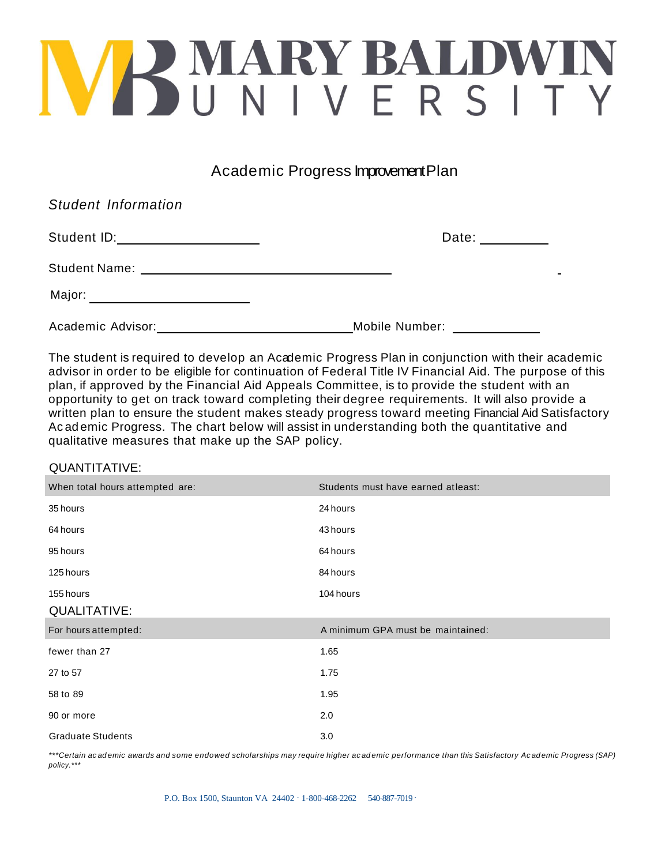## VBMARYBALDWIN

Academic Progress Improvement Plan

| <b>Student Information</b>         |                |
|------------------------------------|----------------|
| Student ID: ______________________ | Date: ______   |
| <b>Student Name:</b>               |                |
| Major: _______________________     |                |
| Academic Advisor:                  | Mobile Number: |

The student is required to develop an Academic Progress Plan in conjunction with their academic advisor in order to be eligible for continuation of Federal Title IV Financial Aid. The purpose of this plan, if approved by the Financial Aid Appeals Committee, is to provide the student with an opportunity to get on track toward completing their degree requirements. It will also provide a written plan to ensure the student makes steady progress toward meeting Financial Aid Satisfactory Ac ad emic Progress. The chart below will assist in understanding both the quantitative and qualitative measures that make up the SAP policy.

## QUANTITATIVE:

| When total hours attempted are: | Students must have earned at least: |
|---------------------------------|-------------------------------------|
| 35 hours                        | 24 hours                            |
| 64 hours                        | 43 hours                            |
| 95 hours                        | 64 hours                            |
| 125 hours                       | 84 hours                            |
| 155 hours                       | 104 hours                           |
| <b>QUALITATIVE:</b>             |                                     |
|                                 |                                     |
| For hours attempted:            | A minimum GPA must be maintained:   |
| fewer than 27                   | 1.65                                |
| 27 to 57                        | 1.75                                |
| 58 to 89                        | 1.95                                |
| 90 or more                      | 2.0                                 |

*\*\*\*Certain ac ad emic awards and some endowed scholarships may require higher ac ad emic performance than this Satisfactory Ac ad emic Progress (SAP) policy.\*\*\**